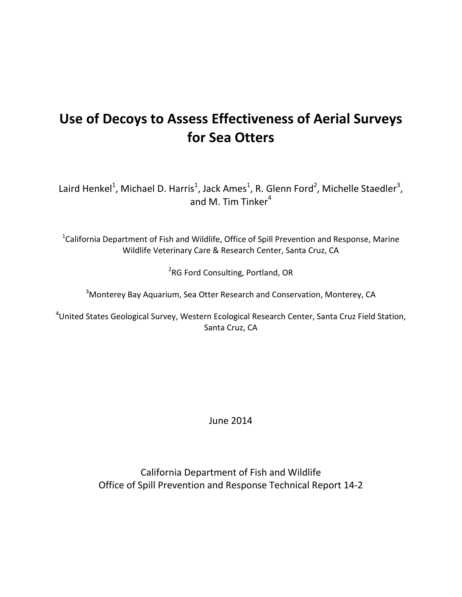# **Use of Decoys to Assess Effectiveness of Aerial Surveys for Sea Otters**

Laird Henkel<sup>1</sup>, Michael D. Harris<sup>1</sup>, Jack Ames<sup>1</sup>, R. Glenn Ford<sup>2</sup>, Michelle Staedler<sup>3</sup>, and M. Tim Tinker $4$ 

<sup>1</sup>California Department of Fish and Wildlife, Office of Spill Prevention and Response, Marine Wildlife Veterinary Care & Research Center, Santa Cruz, CA

<sup>2</sup>RG Ford Consulting, Portland, OR

<sup>3</sup>Monterey Bay Aquarium, Sea Otter Research and Conservation, Monterey, CA

4 United States Geological Survey, Western Ecological Research Center, Santa Cruz Field Station, Santa Cruz, CA

June 2014

California Department of Fish and Wildlife Office of Spill Prevention and Response Technical Report 14-2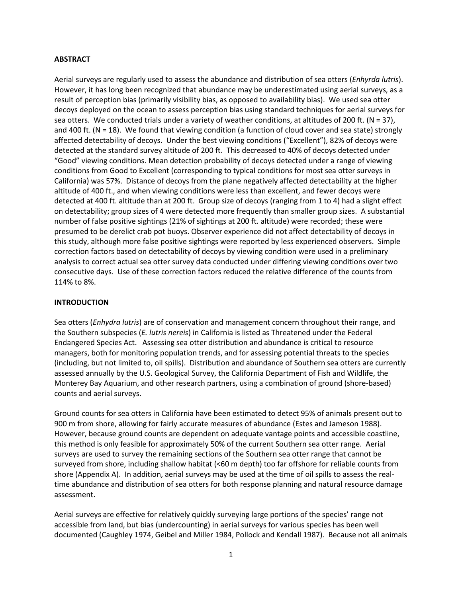# **ABSTRACT**

Aerial surveys are regularly used to assess the abundance and distribution of sea otters (*Enhyrda lutris*). However, it has long been recognized that abundance may be underestimated using aerial surveys, as a result of perception bias (primarily visibility bias, as opposed to availability bias). We used sea otter decoys deployed on the ocean to assess perception bias using standard techniques for aerial surveys for sea otters. We conducted trials under a variety of weather conditions, at altitudes of 200 ft. ( $N = 37$ ), and 400 ft. ( $N = 18$ ). We found that viewing condition (a function of cloud cover and sea state) strongly affected detectability of decoys. Under the best viewing conditions ("Excellent"), 82% of decoys were detected at the standard survey altitude of 200 ft. This decreased to 40% of decoys detected under "Good" viewing conditions. Mean detection probability of decoys detected under a range of viewing conditions from Good to Excellent (corresponding to typical conditions for most sea otter surveys in California) was 57%. Distance of decoys from the plane negatively affected detectability at the higher altitude of 400 ft., and when viewing conditions were less than excellent, and fewer decoys were detected at 400 ft. altitude than at 200 ft. Group size of decoys (ranging from 1 to 4) had a slight effect on detectability; group sizes of 4 were detected more frequently than smaller group sizes. A substantial number of false positive sightings (21% of sightings at 200 ft. altitude) were recorded; these were presumed to be derelict crab pot buoys. Observer experience did not affect detectability of decoys in this study, although more false positive sightings were reported by less experienced observers. Simple correction factors based on detectability of decoys by viewing condition were used in a preliminary analysis to correct actual sea otter survey data conducted under differing viewing conditions over two consecutive days. Use of these correction factors reduced the relative difference of the counts from 114% to 8%.

# **INTRODUCTION**

Sea otters (*Enhydra lutris*) are of conservation and management concern throughout their range, and the Southern subspecies (*E. lutris nereis*) in California is listed as Threatened under the Federal Endangered Species Act. Assessing sea otter distribution and abundance is critical to resource managers, both for monitoring population trends, and for assessing potential threats to the species (including, but not limited to, oil spills). Distribution and abundance of Southern sea otters are currently assessed annually by the U.S. Geological Survey, the California Department of Fish and Wildlife, the Monterey Bay Aquarium, and other research partners, using a combination of ground (shore-based) counts and aerial surveys.

Ground counts for sea otters in California have been estimated to detect 95% of animals present out to 900 m from shore, allowing for fairly accurate measures of abundance (Estes and Jameson 1988). However, because ground counts are dependent on adequate vantage points and accessible coastline, this method is only feasible for approximately 50% of the current Southern sea otter range. Aerial surveys are used to survey the remaining sections of the Southern sea otter range that cannot be surveyed from shore, including shallow habitat (<60 m depth) too far offshore for reliable counts from shore (Appendix A). In addition, aerial surveys may be used at the time of oil spills to assess the realtime abundance and distribution of sea otters for both response planning and natural resource damage assessment.

Aerial surveys are effective for relatively quickly surveying large portions of the species' range not accessible from land, but bias (undercounting) in aerial surveys for various species has been well documented (Caughley 1974, Geibel and Miller 1984, Pollock and Kendall 1987). Because not all animals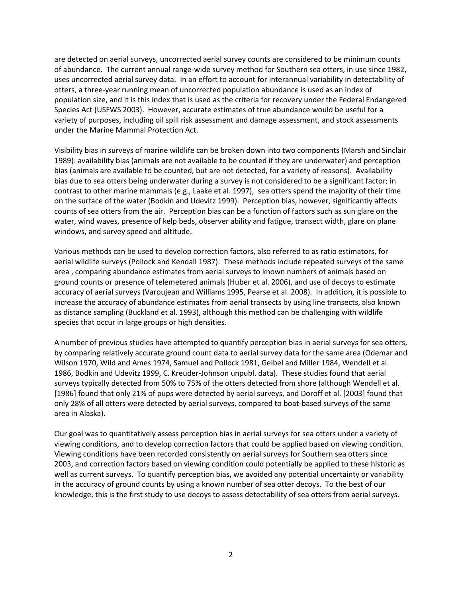are detected on aerial surveys, uncorrected aerial survey counts are considered to be minimum counts of abundance. The current annual range-wide survey method for Southern sea otters, in use since 1982, uses uncorrected aerial survey data. In an effort to account for interannual variability in detectability of otters, a three-year running mean of uncorrected population abundance is used as an index of population size, and it is this index that is used as the criteria for recovery under the Federal Endangered Species Act (USFWS 2003). However, accurate estimates of true abundance would be useful for a variety of purposes, including oil spill risk assessment and damage assessment, and stock assessments under the Marine Mammal Protection Act.

Visibility bias in surveys of marine wildlife can be broken down into two components (Marsh and Sinclair 1989): availability bias (animals are not available to be counted if they are underwater) and perception bias (animals are available to be counted, but are not detected, for a variety of reasons). Availability bias due to sea otters being underwater during a survey is not considered to be a significant factor; in contrast to other marine mammals (e.g., Laake et al. 1997), sea otters spend the majority of their time on the surface of the water (Bodkin and Udevitz 1999). Perception bias, however, significantly affects counts of sea otters from the air. Perception bias can be a function of factors such as sun glare on the water, wind waves, presence of kelp beds, observer ability and fatigue, transect width, glare on plane windows, and survey speed and altitude.

Various methods can be used to develop correction factors, also referred to as ratio estimators, for aerial wildlife surveys (Pollock and Kendall 1987). These methods include repeated surveys of the same area , comparing abundance estimates from aerial surveys to known numbers of animals based on ground counts or presence of telemetered animals (Huber et al. 2006), and use of decoys to estimate accuracy of aerial surveys (Varoujean and Williams 1995, Pearse et al. 2008). In addition, it is possible to increase the accuracy of abundance estimates from aerial transects by using line transects, also known as distance sampling (Buckland et al. 1993), although this method can be challenging with wildlife species that occur in large groups or high densities.

A number of previous studies have attempted to quantify perception bias in aerial surveys for sea otters, by comparing relatively accurate ground count data to aerial survey data for the same area (Odemar and Wilson 1970, Wild and Ames 1974, Samuel and Pollock 1981, Geibel and Miller 1984, Wendell et al. 1986, Bodkin and Udevitz 1999, C. Kreuder-Johnson unpubl. data). These studies found that aerial surveys typically detected from 50% to 75% of the otters detected from shore (although Wendell et al. [1986] found that only 21% of pups were detected by aerial surveys, and Doroff et al. [2003] found that only 28% of all otters were detected by aerial surveys, compared to boat-based surveys of the same area in Alaska).

Our goal was to quantitatively assess perception bias in aerial surveys for sea otters under a variety of viewing conditions, and to develop correction factors that could be applied based on viewing condition. Viewing conditions have been recorded consistently on aerial surveys for Southern sea otters since 2003, and correction factors based on viewing condition could potentially be applied to these historic as well as current surveys. To quantify perception bias, we avoided any potential uncertainty or variability in the accuracy of ground counts by using a known number of sea otter decoys. To the best of our knowledge, this is the first study to use decoys to assess detectability of sea otters from aerial surveys.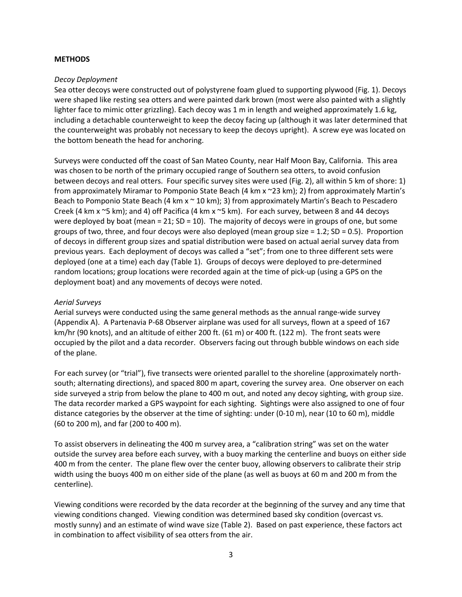#### **METHODS**

#### *Decoy Deployment*

Sea otter decoys were constructed out of polystyrene foam glued to supporting plywood (Fig. 1). Decoys were shaped like resting sea otters and were painted dark brown (most were also painted with a slightly lighter face to mimic otter grizzling). Each decoy was 1 m in length and weighed approximately 1.6 kg, including a detachable counterweight to keep the decoy facing up (although it was later determined that the counterweight was probably not necessary to keep the decoys upright). A screw eye was located on the bottom beneath the head for anchoring.

Surveys were conducted off the coast of San Mateo County, near Half Moon Bay, California. This area was chosen to be north of the primary occupied range of Southern sea otters, to avoid confusion between decoys and real otters. Four specific survey sites were used (Fig. 2), all within 5 km of shore: 1) from approximately Miramar to Pomponio State Beach (4 km x ~23 km); 2) from approximately Martin's Beach to Pomponio State Beach (4 km  $x \sim 10$  km); 3) from approximately Martin's Beach to Pescadero Creek (4 km x ~5 km); and 4) off Pacifica (4 km x ~5 km). For each survey, between 8 and 44 decoys were deployed by boat (mean = 21;  $SD = 10$ ). The majority of decoys were in groups of one, but some groups of two, three, and four decoys were also deployed (mean group size  $= 1.2$ ; SD  $= 0.5$ ). Proportion of decoys in different group sizes and spatial distribution were based on actual aerial survey data from previous years. Each deployment of decoys was called a "set"; from one to three different sets were deployed (one at a time) each day (Table 1). Groups of decoys were deployed to pre-determined random locations; group locations were recorded again at the time of pick-up (using a GPS on the deployment boat) and any movements of decoys were noted.

# *Aerial Surveys*

Aerial surveys were conducted using the same general methods as the annual range-wide survey (Appendix A). A Partenavia P-68 Observer airplane was used for all surveys, flown at a speed of 167 km/hr (90 knots), and an altitude of either 200 ft. (61 m) or 400 ft. (122 m). The front seats were occupied by the pilot and a data recorder. Observers facing out through bubble windows on each side of the plane.

For each survey (or "trial"), five transects were oriented parallel to the shoreline (approximately northsouth; alternating directions), and spaced 800 m apart, covering the survey area. One observer on each side surveyed a strip from below the plane to 400 m out, and noted any decoy sighting, with group size. The data recorder marked a GPS waypoint for each sighting. Sightings were also assigned to one of four distance categories by the observer at the time of sighting: under (0-10 m), near (10 to 60 m), middle (60 to 200 m), and far (200 to 400 m).

To assist observers in delineating the 400 m survey area, a "calibration string" was set on the water outside the survey area before each survey, with a buoy marking the centerline and buoys on either side 400 m from the center. The plane flew over the center buoy, allowing observers to calibrate their strip width using the buoys 400 m on either side of the plane (as well as buoys at 60 m and 200 m from the centerline).

Viewing conditions were recorded by the data recorder at the beginning of the survey and any time that viewing conditions changed. Viewing condition was determined based sky condition (overcast vs. mostly sunny) and an estimate of wind wave size (Table 2). Based on past experience, these factors act in combination to affect visibility of sea otters from the air.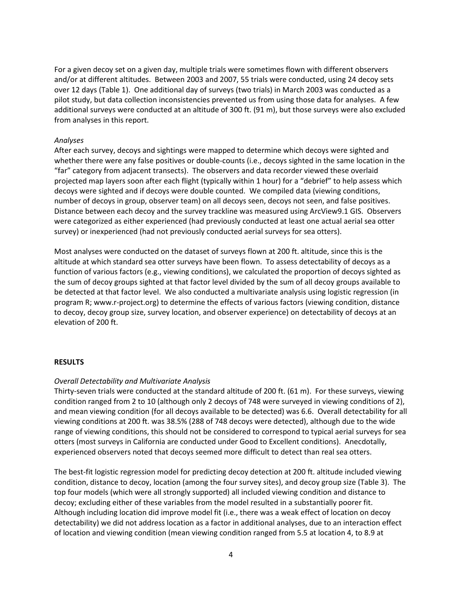For a given decoy set on a given day, multiple trials were sometimes flown with different observers and/or at different altitudes. Between 2003 and 2007, 55 trials were conducted, using 24 decoy sets over 12 days (Table 1). One additional day of surveys (two trials) in March 2003 was conducted as a pilot study, but data collection inconsistencies prevented us from using those data for analyses. A few additional surveys were conducted at an altitude of 300 ft. (91 m), but those surveys were also excluded from analyses in this report.

#### *Analyses*

After each survey, decoys and sightings were mapped to determine which decoys were sighted and whether there were any false positives or double-counts (i.e., decoys sighted in the same location in the "far" category from adjacent transects). The observers and data recorder viewed these overlaid projected map layers soon after each flight (typically within 1 hour) for a "debrief" to help assess which decoys were sighted and if decoys were double counted. We compiled data (viewing conditions, number of decoys in group, observer team) on all decoys seen, decoys not seen, and false positives. Distance between each decoy and the survey trackline was measured using ArcView9.1 GIS. Observers were categorized as either experienced (had previously conducted at least one actual aerial sea otter survey) or inexperienced (had not previously conducted aerial surveys for sea otters).

Most analyses were conducted on the dataset of surveys flown at 200 ft. altitude, since this is the altitude at which standard sea otter surveys have been flown. To assess detectability of decoys as a function of various factors (e.g., viewing conditions), we calculated the proportion of decoys sighted as the sum of decoy groups sighted at that factor level divided by the sum of all decoy groups available to be detected at that factor level. We also conducted a multivariate analysis using logistic regression (in program R; www.r-project.org) to determine the effects of various factors (viewing condition, distance to decoy, decoy group size, survey location, and observer experience) on detectability of decoys at an elevation of 200 ft.

#### **RESULTS**

#### *Overall Detectability and Multivariate Analysis*

Thirty-seven trials were conducted at the standard altitude of 200 ft. (61 m). For these surveys, viewing condition ranged from 2 to 10 (although only 2 decoys of 748 were surveyed in viewing conditions of 2), and mean viewing condition (for all decoys available to be detected) was 6.6. Overall detectability for all viewing conditions at 200 ft. was 38.5% (288 of 748 decoys were detected), although due to the wide range of viewing conditions, this should not be considered to correspond to typical aerial surveys for sea otters (most surveys in California are conducted under Good to Excellent conditions). Anecdotally, experienced observers noted that decoys seemed more difficult to detect than real sea otters.

The best-fit logistic regression model for predicting decoy detection at 200 ft. altitude included viewing condition, distance to decoy, location (among the four survey sites), and decoy group size (Table 3). The top four models (which were all strongly supported) all included viewing condition and distance to decoy; excluding either of these variables from the model resulted in a substantially poorer fit. Although including location did improve model fit (i.e., there was a weak effect of location on decoy detectability) we did not address location as a factor in additional analyses, due to an interaction effect of location and viewing condition (mean viewing condition ranged from 5.5 at location 4, to 8.9 at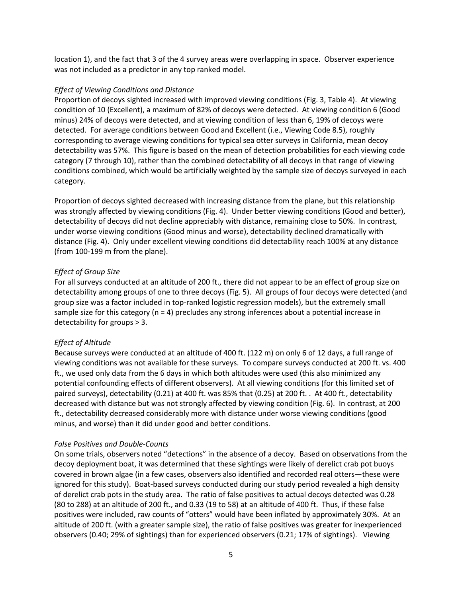location 1), and the fact that 3 of the 4 survey areas were overlapping in space. Observer experience was not included as a predictor in any top ranked model.

### *Effect of Viewing Conditions and Distance*

Proportion of decoys sighted increased with improved viewing conditions (Fig. 3, Table 4). At viewing condition of 10 (Excellent), a maximum of 82% of decoys were detected. At viewing condition 6 (Good minus) 24% of decoys were detected, and at viewing condition of less than 6, 19% of decoys were detected. For average conditions between Good and Excellent (i.e., Viewing Code 8.5), roughly corresponding to average viewing conditions for typical sea otter surveys in California, mean decoy detectability was 57%. This figure is based on the mean of detection probabilities for each viewing code category (7 through 10), rather than the combined detectability of all decoys in that range of viewing conditions combined, which would be artificially weighted by the sample size of decoys surveyed in each category.

Proportion of decoys sighted decreased with increasing distance from the plane, but this relationship was strongly affected by viewing conditions (Fig. 4). Under better viewing conditions (Good and better), detectability of decoys did not decline appreciably with distance, remaining close to 50%. In contrast, under worse viewing conditions (Good minus and worse), detectability declined dramatically with distance (Fig. 4). Only under excellent viewing conditions did detectability reach 100% at any distance (from 100-199 m from the plane).

# *Effect of Group Size*

For all surveys conducted at an altitude of 200 ft., there did not appear to be an effect of group size on detectability among groups of one to three decoys (Fig. 5). All groups of four decoys were detected (and group size was a factor included in top-ranked logistic regression models), but the extremely small sample size for this category ( $n = 4$ ) precludes any strong inferences about a potential increase in detectability for groups > 3.

# *Effect of Altitude*

Because surveys were conducted at an altitude of 400 ft. (122 m) on only 6 of 12 days, a full range of viewing conditions was not available for these surveys. To compare surveys conducted at 200 ft. vs. 400 ft., we used only data from the 6 days in which both altitudes were used (this also minimized any potential confounding effects of different observers). At all viewing conditions (for this limited set of paired surveys), detectability (0.21) at 400 ft. was 85% that (0.25) at 200 ft. . At 400 ft., detectability decreased with distance but was not strongly affected by viewing condition (Fig. 6). In contrast, at 200 ft., detectability decreased considerably more with distance under worse viewing conditions (good minus, and worse) than it did under good and better conditions.

#### *False Positives and Double-Counts*

On some trials, observers noted "detections" in the absence of a decoy. Based on observations from the decoy deployment boat, it was determined that these sightings were likely of derelict crab pot buoys covered in brown algae (in a few cases, observers also identified and recorded real otters—these were ignored for this study). Boat-based surveys conducted during our study period revealed a high density of derelict crab pots in the study area. The ratio of false positives to actual decoys detected was 0.28 (80 to 288) at an altitude of 200 ft., and 0.33 (19 to 58) at an altitude of 400 ft. Thus, if these false positives were included, raw counts of "otters" would have been inflated by approximately 30%. At an altitude of 200 ft. (with a greater sample size), the ratio of false positives was greater for inexperienced observers (0.40; 29% of sightings) than for experienced observers (0.21; 17% of sightings). Viewing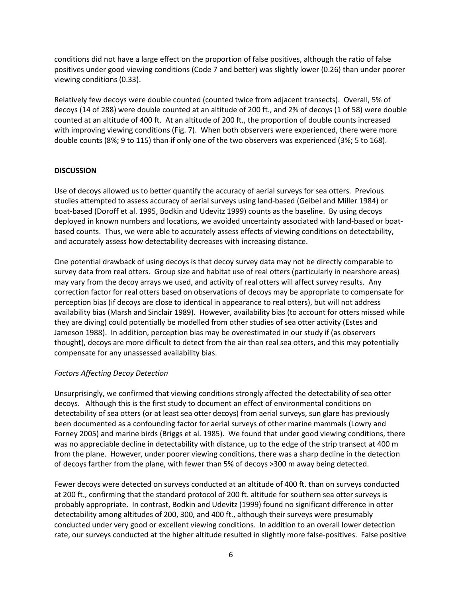conditions did not have a large effect on the proportion of false positives, although the ratio of false positives under good viewing conditions (Code 7 and better) was slightly lower (0.26) than under poorer viewing conditions (0.33).

Relatively few decoys were double counted (counted twice from adjacent transects). Overall, 5% of decoys (14 of 288) were double counted at an altitude of 200 ft., and 2% of decoys (1 of 58) were double counted at an altitude of 400 ft. At an altitude of 200 ft., the proportion of double counts increased with improving viewing conditions (Fig. 7). When both observers were experienced, there were more double counts (8%; 9 to 115) than if only one of the two observers was experienced (3%; 5 to 168).

# **DISCUSSION**

Use of decoys allowed us to better quantify the accuracy of aerial surveys for sea otters. Previous studies attempted to assess accuracy of aerial surveys using land-based (Geibel and Miller 1984) or boat-based (Doroff et al. 1995, Bodkin and Udevitz 1999) counts as the baseline. By using decoys deployed in known numbers and locations, we avoided uncertainty associated with land-based or boatbased counts. Thus, we were able to accurately assess effects of viewing conditions on detectability, and accurately assess how detectability decreases with increasing distance.

One potential drawback of using decoys is that decoy survey data may not be directly comparable to survey data from real otters. Group size and habitat use of real otters (particularly in nearshore areas) may vary from the decoy arrays we used, and activity of real otters will affect survey results. Any correction factor for real otters based on observations of decoys may be appropriate to compensate for perception bias (if decoys are close to identical in appearance to real otters), but will not address availability bias (Marsh and Sinclair 1989). However, availability bias (to account for otters missed while they are diving) could potentially be modelled from other studies of sea otter activity (Estes and Jameson 1988). In addition, perception bias may be overestimated in our study if (as observers thought), decoys are more difficult to detect from the air than real sea otters, and this may potentially compensate for any unassessed availability bias.

# *Factors Affecting Decoy Detection*

Unsurprisingly, we confirmed that viewing conditions strongly affected the detectability of sea otter decoys. Although this is the first study to document an effect of environmental conditions on detectability of sea otters (or at least sea otter decoys) from aerial surveys, sun glare has previously been documented as a confounding factor for aerial surveys of other marine mammals (Lowry and Forney 2005) and marine birds (Briggs et al. 1985). We found that under good viewing conditions, there was no appreciable decline in detectability with distance, up to the edge of the strip transect at 400 m from the plane. However, under poorer viewing conditions, there was a sharp decline in the detection of decoys farther from the plane, with fewer than 5% of decoys >300 m away being detected.

Fewer decoys were detected on surveys conducted at an altitude of 400 ft. than on surveys conducted at 200 ft., confirming that the standard protocol of 200 ft. altitude for southern sea otter surveys is probably appropriate. In contrast, Bodkin and Udevitz (1999) found no significant difference in otter detectability among altitudes of 200, 300, and 400 ft., although their surveys were presumably conducted under very good or excellent viewing conditions. In addition to an overall lower detection rate, our surveys conducted at the higher altitude resulted in slightly more false-positives. False positive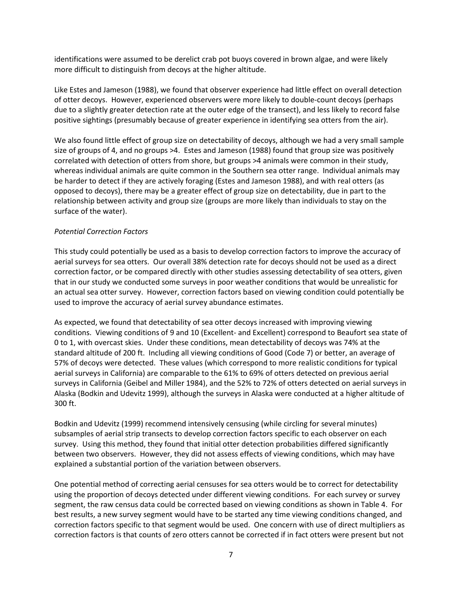identifications were assumed to be derelict crab pot buoys covered in brown algae, and were likely more difficult to distinguish from decoys at the higher altitude.

Like Estes and Jameson (1988), we found that observer experience had little effect on overall detection of otter decoys. However, experienced observers were more likely to double-count decoys (perhaps due to a slightly greater detection rate at the outer edge of the transect), and less likely to record false positive sightings (presumably because of greater experience in identifying sea otters from the air).

We also found little effect of group size on detectability of decoys, although we had a very small sample size of groups of 4, and no groups >4. Estes and Jameson (1988) found that group size was positively correlated with detection of otters from shore, but groups >4 animals were common in their study, whereas individual animals are quite common in the Southern sea otter range. Individual animals may be harder to detect if they are actively foraging (Estes and Jameson 1988), and with real otters (as opposed to decoys), there may be a greater effect of group size on detectability, due in part to the relationship between activity and group size (groups are more likely than individuals to stay on the surface of the water).

# *Potential Correction Factors*

This study could potentially be used as a basis to develop correction factors to improve the accuracy of aerial surveys for sea otters. Our overall 38% detection rate for decoys should not be used as a direct correction factor, or be compared directly with other studies assessing detectability of sea otters, given that in our study we conducted some surveys in poor weather conditions that would be unrealistic for an actual sea otter survey. However, correction factors based on viewing condition could potentially be used to improve the accuracy of aerial survey abundance estimates.

As expected, we found that detectability of sea otter decoys increased with improving viewing conditions. Viewing conditions of 9 and 10 (Excellent- and Excellent) correspond to Beaufort sea state of 0 to 1, with overcast skies. Under these conditions, mean detectability of decoys was 74% at the standard altitude of 200 ft. Including all viewing conditions of Good (Code 7) or better, an average of 57% of decoys were detected. These values (which correspond to more realistic conditions for typical aerial surveys in California) are comparable to the 61% to 69% of otters detected on previous aerial surveys in California (Geibel and Miller 1984), and the 52% to 72% of otters detected on aerial surveys in Alaska (Bodkin and Udevitz 1999), although the surveys in Alaska were conducted at a higher altitude of 300 ft.

Bodkin and Udevitz (1999) recommend intensively censusing (while circling for several minutes) subsamples of aerial strip transects to develop correction factors specific to each observer on each survey. Using this method, they found that initial otter detection probabilities differed significantly between two observers. However, they did not assess effects of viewing conditions, which may have explained a substantial portion of the variation between observers.

One potential method of correcting aerial censuses for sea otters would be to correct for detectability using the proportion of decoys detected under different viewing conditions. For each survey or survey segment, the raw census data could be corrected based on viewing conditions as shown in Table 4. For best results, a new survey segment would have to be started any time viewing conditions changed, and correction factors specific to that segment would be used. One concern with use of direct multipliers as correction factors is that counts of zero otters cannot be corrected if in fact otters were present but not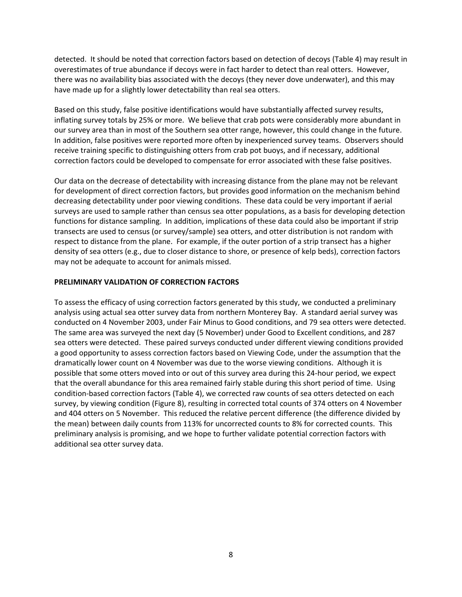detected. It should be noted that correction factors based on detection of decoys (Table 4) may result in overestimates of true abundance if decoys were in fact harder to detect than real otters. However, there was no availability bias associated with the decoys (they never dove underwater), and this may have made up for a slightly lower detectability than real sea otters.

Based on this study, false positive identifications would have substantially affected survey results, inflating survey totals by 25% or more. We believe that crab pots were considerably more abundant in our survey area than in most of the Southern sea otter range, however, this could change in the future. In addition, false positives were reported more often by inexperienced survey teams. Observers should receive training specific to distinguishing otters from crab pot buoys, and if necessary, additional correction factors could be developed to compensate for error associated with these false positives.

Our data on the decrease of detectability with increasing distance from the plane may not be relevant for development of direct correction factors, but provides good information on the mechanism behind decreasing detectability under poor viewing conditions. These data could be very important if aerial surveys are used to sample rather than census sea otter populations, as a basis for developing detection functions for distance sampling. In addition, implications of these data could also be important if strip transects are used to census (or survey/sample) sea otters, and otter distribution is not random with respect to distance from the plane. For example, if the outer portion of a strip transect has a higher density of sea otters (e.g., due to closer distance to shore, or presence of kelp beds), correction factors may not be adequate to account for animals missed.

# **PRELIMINARY VALIDATION OF CORRECTION FACTORS**

To assess the efficacy of using correction factors generated by this study, we conducted a preliminary analysis using actual sea otter survey data from northern Monterey Bay. A standard aerial survey was conducted on 4 November 2003, under Fair Minus to Good conditions, and 79 sea otters were detected. The same area was surveyed the next day (5 November) under Good to Excellent conditions, and 287 sea otters were detected. These paired surveys conducted under different viewing conditions provided a good opportunity to assess correction factors based on Viewing Code, under the assumption that the dramatically lower count on 4 November was due to the worse viewing conditions. Although it is possible that some otters moved into or out of this survey area during this 24-hour period, we expect that the overall abundance for this area remained fairly stable during this short period of time. Using condition-based correction factors (Table 4), we corrected raw counts of sea otters detected on each survey, by viewing condition (Figure 8), resulting in corrected total counts of 374 otters on 4 November and 404 otters on 5 November. This reduced the relative percent difference (the difference divided by the mean) between daily counts from 113% for uncorrected counts to 8% for corrected counts. This preliminary analysis is promising, and we hope to further validate potential correction factors with additional sea otter survey data.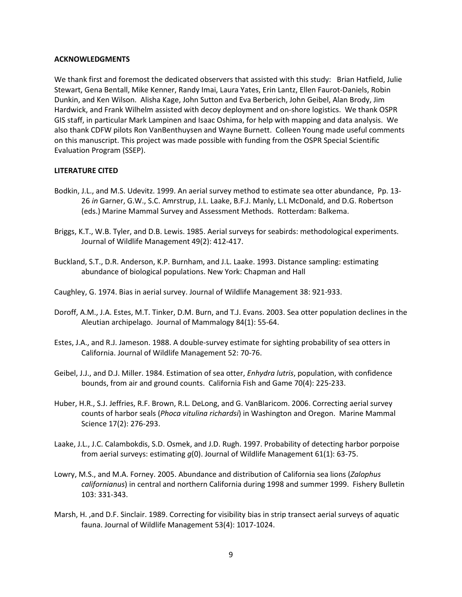#### **ACKNOWLEDGMENTS**

We thank first and foremost the dedicated observers that assisted with this study: Brian Hatfield, Julie Stewart, Gena Bentall, Mike Kenner, Randy Imai, Laura Yates, Erin Lantz, Ellen Faurot-Daniels, Robin Dunkin, and Ken Wilson. Alisha Kage, John Sutton and Eva Berberich, John Geibel, Alan Brody, Jim Hardwick, and Frank Wilhelm assisted with decoy deployment and on-shore logistics. We thank OSPR GIS staff, in particular Mark Lampinen and Isaac Oshima, for help with mapping and data analysis. We also thank CDFW pilots Ron VanBenthuysen and Wayne Burnett. Colleen Young made useful comments on this manuscript. This project was made possible with funding from the OSPR Special Scientific Evaluation Program (SSEP).

#### **LITERATURE CITED**

- Bodkin, J.L., and M.S. Udevitz. 1999. An aerial survey method to estimate sea otter abundance, Pp. 13- 26 *in* Garner, G.W., S.C. Amrstrup, J.L. Laake, B.F.J. Manly, L.L McDonald, and D.G. Robertson (eds.) Marine Mammal Survey and Assessment Methods. Rotterdam: Balkema.
- Briggs, K.T., W.B. Tyler, and D.B. Lewis. 1985. Aerial surveys for seabirds: methodological experiments. Journal of Wildlife Management 49(2): 412-417.
- Buckland, S.T., D.R. Anderson, K.P. Burnham, and J.L. Laake. 1993. Distance sampling: estimating abundance of biological populations. New York: Chapman and Hall
- Caughley, G. 1974. Bias in aerial survey. Journal of Wildlife Management 38: 921-933.
- Doroff, A.M., J.A. Estes, M.T. Tinker, D.M. Burn, and T.J. Evans. 2003. Sea otter population declines in the Aleutian archipelago. Journal of Mammalogy 84(1): 55-64.
- Estes, J.A., and R.J. Jameson. 1988. A double-survey estimate for sighting probability of sea otters in California. Journal of Wildlife Management 52: 70-76.
- Geibel, J.J., and D.J. Miller. 1984. Estimation of sea otter, *Enhydra lutris*, population, with confidence bounds, from air and ground counts. California Fish and Game 70(4): 225-233.
- Huber, H.R., S.J. Jeffries, R.F. Brown, R.L. DeLong, and G. VanBlaricom. 2006. Correcting aerial survey counts of harbor seals (*Phoca vitulina richardsi*) in Washington and Oregon. Marine Mammal Science 17(2): 276-293.
- Laake, J.L., J.C. Calambokdis, S.D. Osmek, and J.D. Rugh. 1997. Probability of detecting harbor porpoise from aerial surveys: estimating *g*(0). Journal of Wildlife Management 61(1): 63-75.
- Lowry, M.S., and M.A. Forney. 2005. Abundance and distribution of California sea lions (*Zalophus californianus*) in central and northern California during 1998 and summer 1999. Fishery Bulletin 103: 331-343.
- Marsh, H. ,and D.F. Sinclair. 1989. Correcting for visibility bias in strip transect aerial surveys of aquatic fauna. Journal of Wildlife Management 53(4): 1017-1024.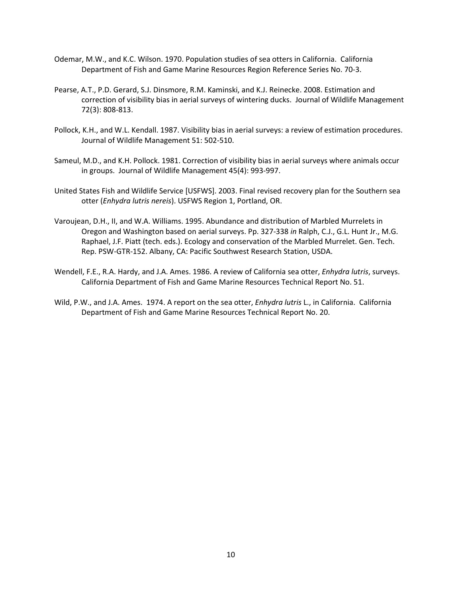- Odemar, M.W., and K.C. Wilson. 1970. Population studies of sea otters in California. California Department of Fish and Game Marine Resources Region Reference Series No. 70-3.
- Pearse, A.T., P.D. Gerard, S.J. Dinsmore, R.M. Kaminski, and K.J. Reinecke. 2008. Estimation and correction of visibility bias in aerial surveys of wintering ducks. Journal of Wildlife Management 72(3): 808-813.
- Pollock, K.H., and W.L. Kendall. 1987. Visibility bias in aerial surveys: a review of estimation procedures. Journal of Wildlife Management 51: 502-510.
- Sameul, M.D., and K.H. Pollock. 1981. Correction of visibility bias in aerial surveys where animals occur in groups. Journal of Wildlife Management 45(4): 993-997.
- United States Fish and Wildlife Service [USFWS]. 2003. Final revised recovery plan for the Southern sea otter (*Enhydra lutris nereis*). USFWS Region 1, Portland, OR.
- Varoujean, D.H., II, and W.A. Williams. 1995. Abundance and distribution of Marbled Murrelets in Oregon and Washington based on aerial surveys. Pp. 327-338 *in* Ralph, C.J., G.L. Hunt Jr., M.G. Raphael, J.F. Piatt (tech. eds.). Ecology and conservation of the Marbled Murrelet. Gen. Tech. Rep. PSW-GTR-152. Albany, CA: Pacific Southwest Research Station, USDA.
- Wendell, F.E., R.A. Hardy, and J.A. Ames. 1986. A review of California sea otter, *Enhydra lutris*, surveys. California Department of Fish and Game Marine Resources Technical Report No. 51.
- Wild, P.W., and J.A. Ames. 1974. A report on the sea otter, *Enhydra lutris* L., in California. California Department of Fish and Game Marine Resources Technical Report No. 20.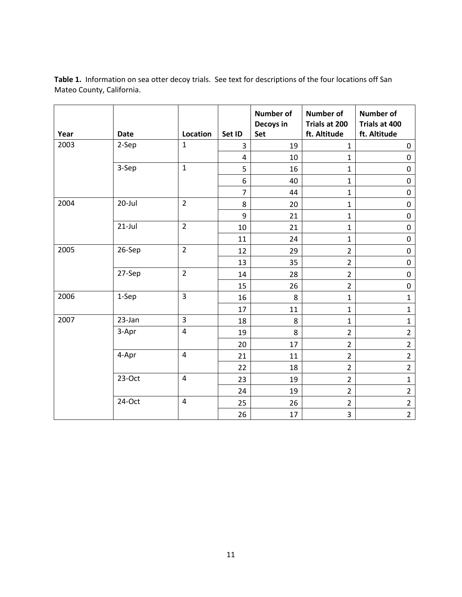| Year | <b>Date</b> | Location                | Set ID         | <b>Number of</b><br>Decoys in<br>Set | <b>Number of</b><br>Trials at 200<br>ft. Altitude | <b>Number of</b><br>Trials at 400<br>ft. Altitude |
|------|-------------|-------------------------|----------------|--------------------------------------|---------------------------------------------------|---------------------------------------------------|
| 2003 | 2-Sep       | $\mathbf{1}$            | $\overline{3}$ | 19                                   | $\mathbf{1}$                                      | $\mathbf 0$                                       |
|      |             |                         | 4              | 10                                   | $\mathbf{1}$                                      | $\pmb{0}$                                         |
|      | 3-Sep       | $\mathbf{1}$            | 5              | 16                                   | $\mathbf{1}$                                      | $\mathbf 0$                                       |
|      |             |                         | 6              | 40                                   | $\mathbf{1}$                                      | $\mathbf 0$                                       |
|      |             |                         | $\overline{7}$ | 44                                   | $\mathbf{1}$                                      | $\mathbf 0$                                       |
| 2004 | 20-Jul      | $\overline{2}$          | 8              | 20                                   | $\mathbf{1}$                                      | $\pmb{0}$                                         |
|      |             |                         | 9              | 21                                   | $\mathbf{1}$                                      | $\pmb{0}$                                         |
|      | $21$ -Jul   | $\overline{2}$          | 10             | 21                                   | $\mathbf{1}$                                      | $\mathbf 0$                                       |
|      |             |                         | 11             | 24                                   | $\mathbf{1}$                                      | $\pmb{0}$                                         |
| 2005 | 26-Sep      | $\overline{2}$          | 12             | 29                                   | $\overline{2}$                                    | $\mathbf 0$                                       |
|      |             |                         | 13             | 35                                   | $\overline{2}$                                    | $\pmb{0}$                                         |
|      | 27-Sep      | $\overline{2}$          | 14             | 28                                   | $\overline{2}$                                    | $\pmb{0}$                                         |
|      |             |                         | 15             | 26                                   | $\overline{2}$                                    | $\mathbf 0$                                       |
| 2006 | 1-Sep       | 3                       | 16             | 8                                    | $\mathbf{1}$                                      | $\mathbf{1}$                                      |
|      |             |                         | 17             | 11                                   | $\mathbf{1}$                                      | $\mathbf{1}$                                      |
| 2007 | $23$ -Jan   | $\overline{3}$          | 18             | 8                                    | $\mathbf{1}$                                      | $\mathbf{1}$                                      |
|      | 3-Apr       | $\overline{\mathbf{4}}$ | 19             | 8                                    | $\overline{2}$                                    | $\overline{2}$                                    |
|      |             |                         | 20             | 17                                   | $\overline{2}$                                    | $\overline{2}$                                    |
|      | 4-Apr       | $\overline{\mathbf{4}}$ | 21             | 11                                   | $\overline{2}$                                    | $\overline{2}$                                    |
|      |             |                         | 22             | 18                                   | $\overline{2}$                                    | $\overline{2}$                                    |
|      | $23-Oct$    | $\overline{4}$          | 23             | 19                                   | $\overline{2}$                                    | $\mathbf{1}$                                      |
|      |             |                         | 24             | 19                                   | $\overline{2}$                                    | $\overline{2}$                                    |
|      | 24-Oct      | $\overline{\mathbf{4}}$ | 25             | 26                                   | $\overline{2}$                                    | $\overline{2}$                                    |
|      |             |                         | 26             | 17                                   | 3                                                 | $\overline{2}$                                    |

**Table 1.** Information on sea otter decoy trials. See text for descriptions of the four locations off San Mateo County, California.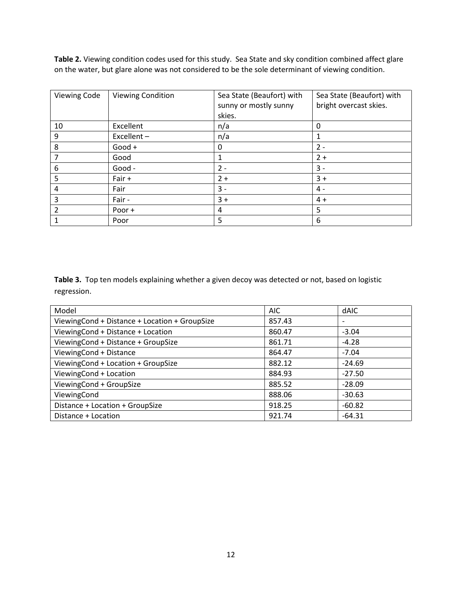**Table 2.** Viewing condition codes used for this study. Sea State and sky condition combined affect glare on the water, but glare alone was not considered to be the sole determinant of viewing condition.

| <b>Viewing Code</b> | <b>Viewing Condition</b> | Sea State (Beaufort) with<br>sunny or mostly sunny<br>skies. | Sea State (Beaufort) with<br>bright overcast skies. |
|---------------------|--------------------------|--------------------------------------------------------------|-----------------------------------------------------|
| 10                  | Excellent                | n/a                                                          | 0                                                   |
| 9                   | Excellent-               | n/a                                                          | 1                                                   |
| 8                   | $Good +$                 | 0                                                            | $2 -$                                               |
|                     | Good                     |                                                              | $2+$                                                |
| 6                   | Good -                   | $2 -$                                                        | $3 -$                                               |
| 5                   | Fair +                   | $2+$                                                         | $3+$                                                |
| 4                   | Fair                     | $3 -$                                                        | $4 -$                                               |
| 3                   | Fair -                   | $3+$                                                         | $4 +$                                               |
| 2                   | Poor +                   | 4                                                            | 5                                                   |
|                     | Poor                     | 5                                                            | 6                                                   |

**Table 3.** Top ten models explaining whether a given decoy was detected or not, based on logistic regression.

| Model                                         | <b>AIC</b> | <b>dAIC</b> |
|-----------------------------------------------|------------|-------------|
| ViewingCond + Distance + Location + GroupSize | 857.43     |             |
| ViewingCond + Distance + Location             | 860.47     | $-3.04$     |
| ViewingCond + Distance + GroupSize            | 861.71     | $-4.28$     |
| ViewingCond + Distance                        | 864.47     | $-7.04$     |
| ViewingCond + Location + GroupSize            | 882.12     | $-24.69$    |
| ViewingCond + Location                        | 884.93     | $-27.50$    |
| ViewingCond + GroupSize                       | 885.52     | $-28.09$    |
| ViewingCond                                   | 888.06     | $-30.63$    |
| Distance + Location + GroupSize               | 918.25     | $-60.82$    |
| Distance + Location                           | 921.74     | $-64.31$    |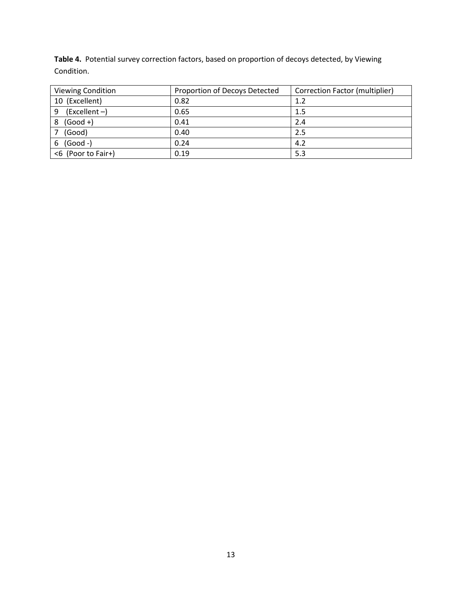**Table 4.** Potential survey correction factors, based on proportion of decoys detected, by Viewing Condition.

| <b>Viewing Condition</b> | Proportion of Decoys Detected | Correction Factor (multiplier) |  |
|--------------------------|-------------------------------|--------------------------------|--|
| 10 (Excellent)           | 0.82                          | 1.2                            |  |
| $(Excellent -)$<br>9     | 0.65                          | 1.5                            |  |
| $(Good +)$<br>8          | 0.41                          | 2.4                            |  |
| (Good)                   | 0.40                          | 2.5                            |  |
| $(Good -)$<br>6          | 0.24                          | 4.2                            |  |
| <6 (Poor to Fair+)       | 0.19                          | 5.3                            |  |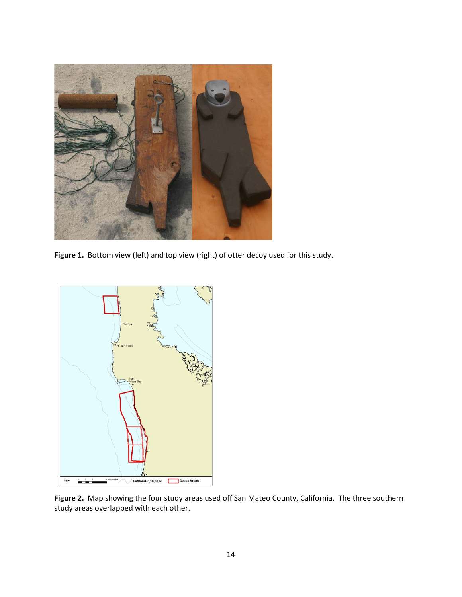

Figure 1. Bottom view (left) and top view (right) of otter decoy used for this study.



**Figure 2.** Map showing the four study areas used off San Mateo County, California. The three southern study areas overlapped with each other.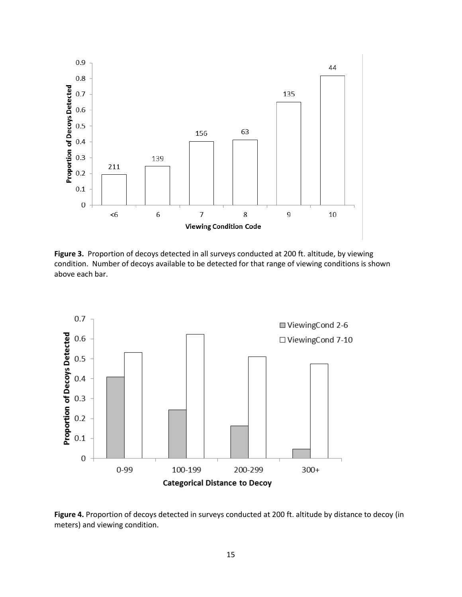

**Figure 3.** Proportion of decoys detected in all surveys conducted at 200 ft. altitude, by viewing condition. Number of decoys available to be detected for that range of viewing conditions is shown above each bar.



**Figure 4.** Proportion of decoys detected in surveys conducted at 200 ft. altitude by distance to decoy (in meters) and viewing condition.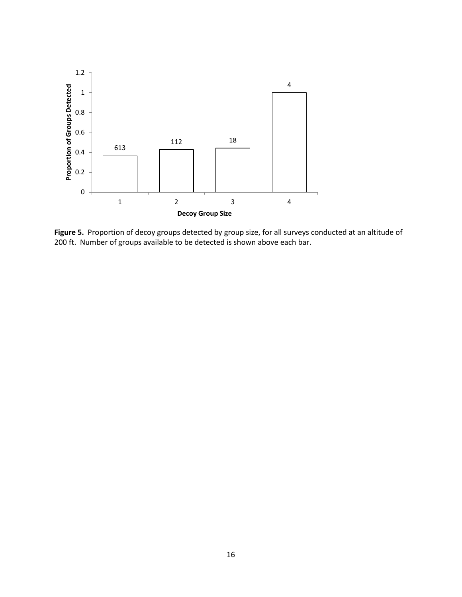

**Figure 5.** Proportion of decoy groups detected by group size, for all surveys conducted at an altitude of 200 ft. Number of groups available to be detected is shown above each bar.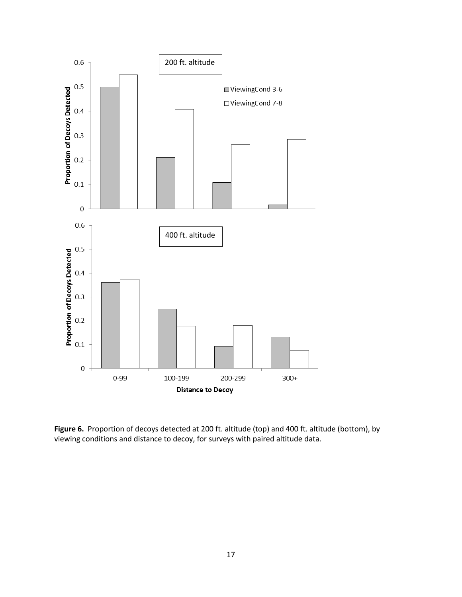

**Figure 6.** Proportion of decoys detected at 200 ft. altitude (top) and 400 ft. altitude (bottom), by viewing conditions and distance to decoy, for surveys with paired altitude data.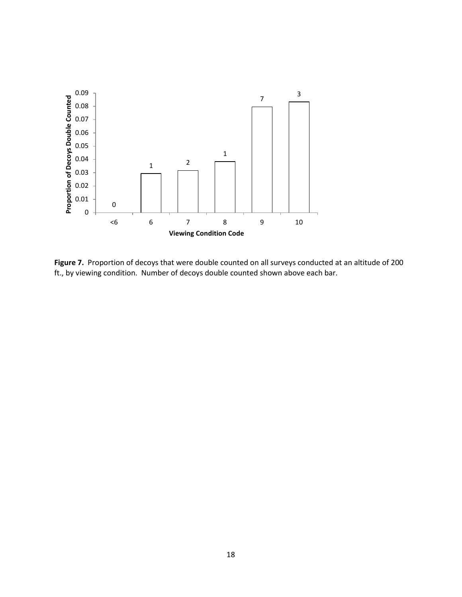

**Figure 7.** Proportion of decoys that were double counted on all surveys conducted at an altitude of 200 ft., by viewing condition. Number of decoys double counted shown above each bar.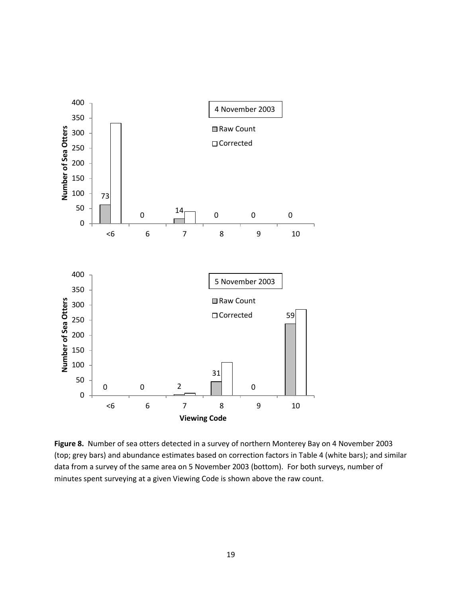

**Figure 8.** Number of sea otters detected in a survey of northern Monterey Bay on 4 November 2003 (top; grey bars) and abundance estimates based on correction factors in Table 4 (white bars); and similar data from a survey of the same area on 5 November 2003 (bottom). For both surveys, number of minutes spent surveying at a given Viewing Code is shown above the raw count.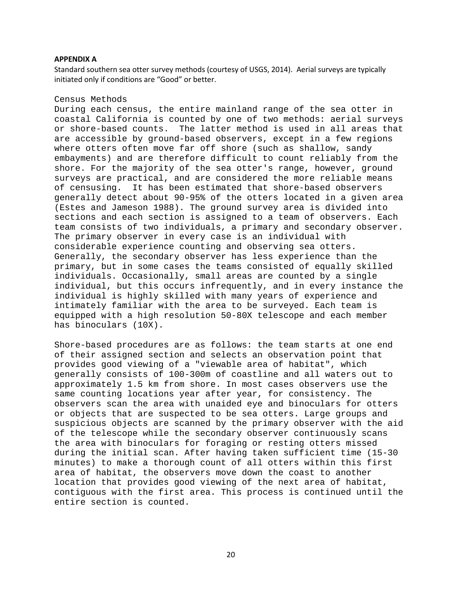#### **APPENDIX A**

Standard southern sea otter survey methods (courtesy of USGS, 2014). Aerial surveys are typically initiated only if conditions are "Good" or better.

#### Census Methods

During each census, the entire mainland range of the sea otter in coastal California is counted by one of two methods: aerial surveys or shore-based counts. The latter method is used in all areas that are accessible by ground-based observers, except in a few regions where otters often move far off shore (such as shallow, sandy embayments) and are therefore difficult to count reliably from the shore. For the majority of the sea otter's range, however, ground surveys are practical, and are considered the more reliable means of censusing. It has been estimated that shore-based observers generally detect about 90-95% of the otters located in a given area (Estes and Jameson 1988). The ground survey area is divided into sections and each section is assigned to a team of observers. Each team consists of two individuals, a primary and secondary observer. The primary observer in every case is an individual with considerable experience counting and observing sea otters. Generally, the secondary observer has less experience than the primary, but in some cases the teams consisted of equally skilled individuals. Occasionally, small areas are counted by a single individual, but this occurs infrequently, and in every instance the individual is highly skilled with many years of experience and intimately familiar with the area to be surveyed. Each team is equipped with a high resolution 50-80X telescope and each member has binoculars (10X).

Shore-based procedures are as follows: the team starts at one end of their assigned section and selects an observation point that provides good viewing of a "viewable area of habitat", which generally consists of 100-300m of coastline and all waters out to approximately 1.5 km from shore. In most cases observers use the same counting locations year after year, for consistency. The observers scan the area with unaided eye and binoculars for otters or objects that are suspected to be sea otters. Large groups and suspicious objects are scanned by the primary observer with the aid of the telescope while the secondary observer continuously scans the area with binoculars for foraging or resting otters missed during the initial scan. After having taken sufficient time (15-30 minutes) to make a thorough count of all otters within this first area of habitat, the observers move down the coast to another location that provides good viewing of the next area of habitat, contiguous with the first area. This process is continued until the entire section is counted.